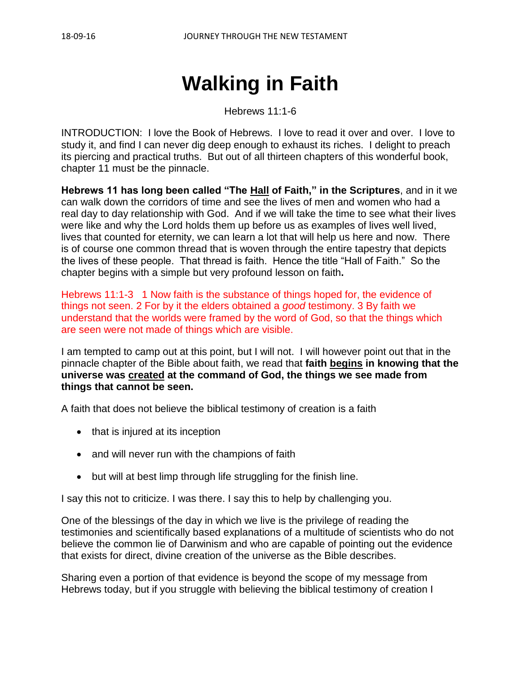# **Walking in Faith**

Hebrews 11:1-6

INTRODUCTION: I love the Book of Hebrews. I love to read it over and over. I love to study it, and find I can never dig deep enough to exhaust its riches. I delight to preach its piercing and practical truths. But out of all thirteen chapters of this wonderful book, chapter 11 must be the pinnacle.

**Hebrews 11 has long been called "The Hall of Faith," in the Scriptures**, and in it we can walk down the corridors of time and see the lives of men and women who had a real day to day relationship with God. And if we will take the time to see what their lives were like and why the Lord holds them up before us as examples of lives well lived, lives that counted for eternity, we can learn a lot that will help us here and now. There is of course one common thread that is woven through the entire tapestry that depicts the lives of these people. That thread is faith. Hence the title "Hall of Faith." So the chapter begins with a simple but very profound lesson on faith**.** 

Hebrews 11:1-3 1 Now faith is the substance of things hoped for, the evidence of things not seen. 2 For by it the elders obtained a *good* testimony. 3 By faith we understand that the worlds were framed by the word of God, so that the things which are seen were not made of things which are visible.

I am tempted to camp out at this point, but I will not. I will however point out that in the pinnacle chapter of the Bible about faith, we read that **faith begins in knowing that the universe was created at the command of God, the things we see made from things that cannot be seen.**

A faith that does not believe the biblical testimony of creation is a faith

- $\bullet$  that is injured at its inception
- and will never run with the champions of faith
- but will at best limp through life struggling for the finish line.

I say this not to criticize. I was there. I say this to help by challenging you.

One of the blessings of the day in which we live is the privilege of reading the testimonies and scientifically based explanations of a multitude of scientists who do not believe the common lie of Darwinism and who are capable of pointing out the evidence that exists for direct, divine creation of the universe as the Bible describes.

Sharing even a portion of that evidence is beyond the scope of my message from Hebrews today, but if you struggle with believing the biblical testimony of creation I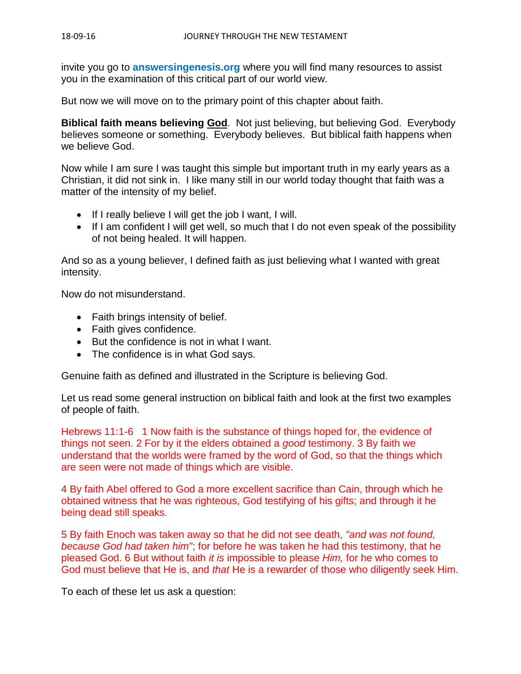invite you go to **answersingenesis.org** where you will find many resources to assist you in the examination of this critical part of our world view.

But now we will move on to the primary point of this chapter about faith.

**Biblical faith means believing God**. Not just believing, but believing God. Everybody believes someone or something. Everybody believes. But biblical faith happens when we believe God.

Now while I am sure I was taught this simple but important truth in my early years as a Christian, it did not sink in. I like many still in our world today thought that faith was a matter of the intensity of my belief.

- If I really believe I will get the job I want, I will.
- If I am confident I will get well, so much that I do not even speak of the possibility of not being healed. It will happen.

And so as a young believer, I defined faith as just believing what I wanted with great intensity.

Now do not misunderstand.

- Faith brings intensity of belief.
- Faith gives confidence.
- But the confidence is not in what I want.
- The confidence is in what God says.

Genuine faith as defined and illustrated in the Scripture is believing God.

Let us read some general instruction on biblical faith and look at the first two examples of people of faith.

Hebrews 11:1-6 1 Now faith is the substance of things hoped for, the evidence of things not seen. 2 For by it the elders obtained a *good* testimony. 3 By faith we understand that the worlds were framed by the word of God, so that the things which are seen were not made of things which are visible.

4 By faith Abel offered to God a more excellent sacrifice than Cain, through which he obtained witness that he was righteous, God testifying of his gifts; and through it he being dead still speaks.

5 By faith Enoch was taken away so that he did not see death, *"and was not found, because God had taken him"*; for before he was taken he had this testimony, that he pleased God. 6 But without faith *it is* impossible to please *Him,* for he who comes to God must believe that He is, and *that* He is a rewarder of those who diligently seek Him.

To each of these let us ask a question: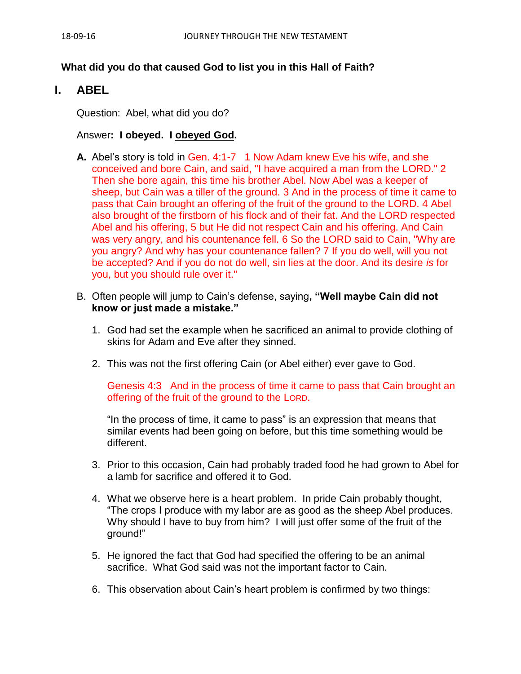## **What did you do that caused God to list you in this Hall of Faith?**

## **I. ABEL**

Question: Abel, what did you do?

## Answer**: I obeyed. I obeyed God.**

- **A.** Abel's story is told in Gen. 4:1-7 1 Now Adam knew Eve his wife, and she conceived and bore Cain, and said, "I have acquired a man from the LORD." 2 Then she bore again, this time his brother Abel. Now Abel was a keeper of sheep, but Cain was a tiller of the ground. 3 And in the process of time it came to pass that Cain brought an offering of the fruit of the ground to the LORD. 4 Abel also brought of the firstborn of his flock and of their fat. And the LORD respected Abel and his offering, 5 but He did not respect Cain and his offering. And Cain was very angry, and his countenance fell. 6 So the LORD said to Cain, "Why are you angry? And why has your countenance fallen? 7 If you do well, will you not be accepted? And if you do not do well, sin lies at the door. And its desire *is* for you, but you should rule over it."
- B. Often people will jump to Cain's defense, saying**, "Well maybe Cain did not know or just made a mistake."**
	- 1. God had set the example when he sacrificed an animal to provide clothing of skins for Adam and Eve after they sinned.
	- 2. This was not the first offering Cain (or Abel either) ever gave to God.

Genesis 4:3 And in the process of time it came to pass that Cain brought an offering of the fruit of the ground to the LORD.

"In the process of time, it came to pass" is an expression that means that similar events had been going on before, but this time something would be different.

- 3. Prior to this occasion, Cain had probably traded food he had grown to Abel for a lamb for sacrifice and offered it to God.
- 4. What we observe here is a heart problem. In pride Cain probably thought, "The crops I produce with my labor are as good as the sheep Abel produces. Why should I have to buy from him? I will just offer some of the fruit of the ground!"
- 5. He ignored the fact that God had specified the offering to be an animal sacrifice. What God said was not the important factor to Cain.
- 6. This observation about Cain's heart problem is confirmed by two things: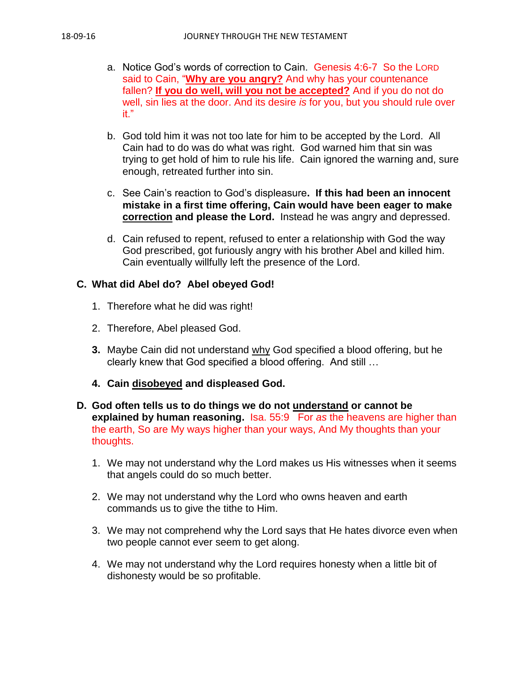- a. Notice God's words of correction to Cain. Genesis 4:6-7 So the LORD said to Cain, "**Why are you angry?** And why has your countenance fallen? **If you do well, will you not be accepted?** And if you do not do well, sin lies at the door. And its desire *is* for you, but you should rule over it."
- b. God told him it was not too late for him to be accepted by the Lord. All Cain had to do was do what was right. God warned him that sin was trying to get hold of him to rule his life. Cain ignored the warning and, sure enough, retreated further into sin.
- c. See Cain's reaction to God's displeasure**. If this had been an innocent mistake in a first time offering, Cain would have been eager to make correction and please the Lord.** Instead he was angry and depressed.
- d. Cain refused to repent, refused to enter a relationship with God the way God prescribed, got furiously angry with his brother Abel and killed him. Cain eventually willfully left the presence of the Lord.

## **C. What did Abel do? Abel obeyed God!**

- 1. Therefore what he did was right!
- 2. Therefore, Abel pleased God.
- **3.** Maybe Cain did not understand why God specified a blood offering, but he clearly knew that God specified a blood offering. And still …
- **4. Cain disobeyed and displeased God.**
- **D. God often tells us to do things we do not understand or cannot be explained by human reasoning.** Isa. 55:9 For *as* the heavens are higher than the earth, So are My ways higher than your ways, And My thoughts than your thoughts.
	- 1. We may not understand why the Lord makes us His witnesses when it seems that angels could do so much better.
	- 2. We may not understand why the Lord who owns heaven and earth commands us to give the tithe to Him.
	- 3. We may not comprehend why the Lord says that He hates divorce even when two people cannot ever seem to get along.
	- 4. We may not understand why the Lord requires honesty when a little bit of dishonesty would be so profitable.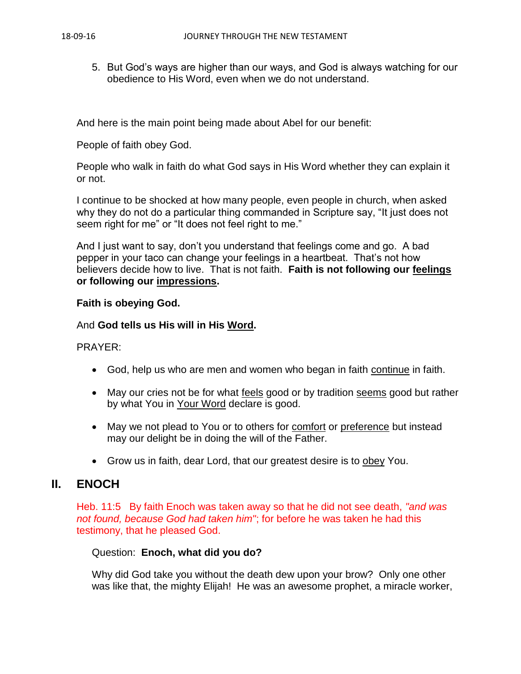5. But God's ways are higher than our ways, and God is always watching for our obedience to His Word, even when we do not understand.

And here is the main point being made about Abel for our benefit:

People of faith obey God.

People who walk in faith do what God says in His Word whether they can explain it or not.

I continue to be shocked at how many people, even people in church, when asked why they do not do a particular thing commanded in Scripture say, "It just does not seem right for me" or "It does not feel right to me."

And I just want to say, don't you understand that feelings come and go. A bad pepper in your taco can change your feelings in a heartbeat. That's not how believers decide how to live. That is not faith. **Faith is not following our feelings or following our impressions.** 

### **Faith is obeying God.**

## And **God tells us His will in His Word.**

PRAYER:

- God, help us who are men and women who began in faith continue in faith.
- May our cries not be for what feels good or by tradition seems good but rather by what You in Your Word declare is good.
- May we not plead to You or to others for comfort or preference but instead may our delight be in doing the will of the Father.
- Grow us in faith, dear Lord, that our greatest desire is to obey You.

# **II. ENOCH**

Heb. 11:5 By faith Enoch was taken away so that he did not see death, *"and was not found, because God had taken him"*; for before he was taken he had this testimony, that he pleased God.

### Question: **Enoch, what did you do?**

Why did God take you without the death dew upon your brow? Only one other was like that, the mighty Elijah! He was an awesome prophet, a miracle worker,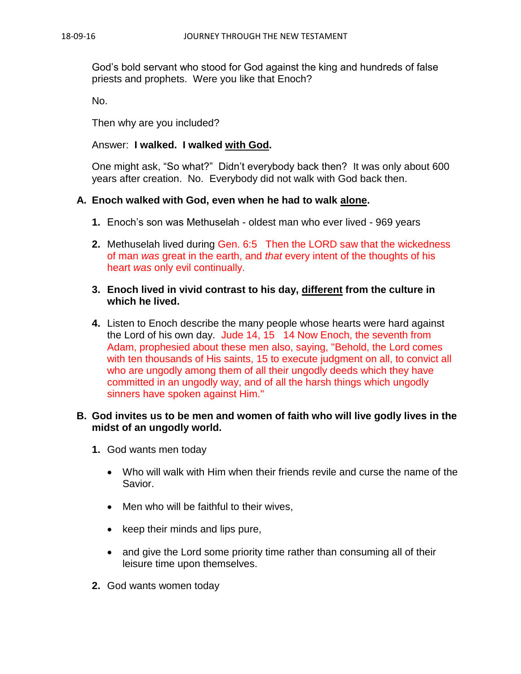God's bold servant who stood for God against the king and hundreds of false priests and prophets. Were you like that Enoch?

No.

Then why are you included?

## Answer: **I walked. I walked with God.**

One might ask, "So what?" Didn't everybody back then? It was only about 600 years after creation. No. Everybody did not walk with God back then.

## **A. Enoch walked with God, even when he had to walk alone.**

- **1.** Enoch's son was Methuselah oldest man who ever lived 969 years
- **2.** Methuselah lived during Gen. 6:5 Then the LORD saw that the wickedness of man *was* great in the earth, and *that* every intent of the thoughts of his heart *was* only evil continually.
- **3. Enoch lived in vivid contrast to his day, different from the culture in which he lived.**
- **4.** Listen to Enoch describe the many people whose hearts were hard against the Lord of his own day. Jude 14, 15 14 Now Enoch, the seventh from Adam, prophesied about these men also, saying, "Behold, the Lord comes with ten thousands of His saints, 15 to execute judgment on all, to convict all who are ungodly among them of all their ungodly deeds which they have committed in an ungodly way, and of all the harsh things which ungodly sinners have spoken against Him."

## **B. God invites us to be men and women of faith who will live godly lives in the midst of an ungodly world.**

- **1.** God wants men today
	- Who will walk with Him when their friends revile and curse the name of the Savior.
	- Men who will be faithful to their wives.
	- $\bullet$  keep their minds and lips pure,
	- and give the Lord some priority time rather than consuming all of their leisure time upon themselves.
- **2.** God wants women today